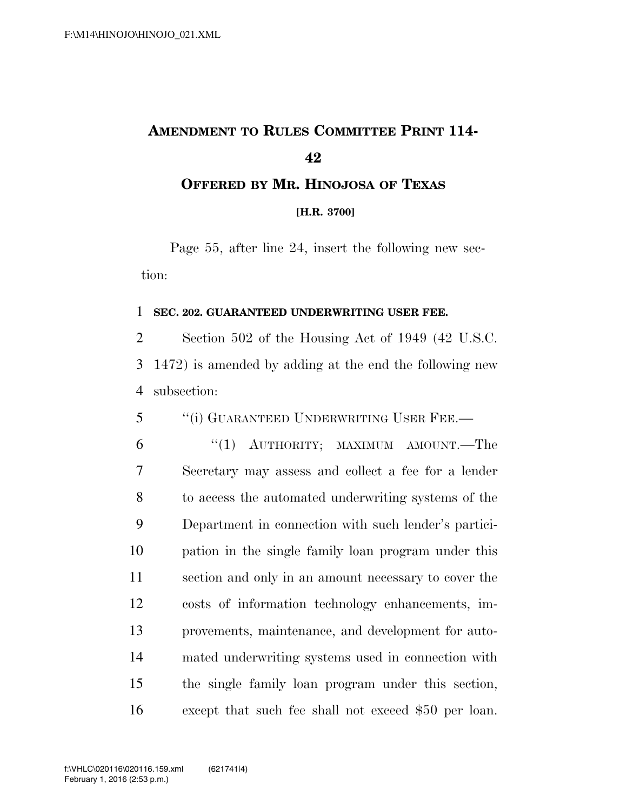## **AMENDMENT TO RULES COMMITTEE PRINT 114- OFFERED BY MR. HINOJOSA OF TEXAS**

**[H.R. 3700]**

Page 55, after line 24, insert the following new section:

## **SEC. 202. GUARANTEED UNDERWRITING USER FEE.**

 Section 502 of the Housing Act of 1949 (42 U.S.C. 1472) is amended by adding at the end the following new subsection:

''(i) GUARANTEED UNDERWRITING USER FEE.—

 ''(1) AUTHORITY; MAXIMUM AMOUNT.—The Secretary may assess and collect a fee for a lender to access the automated underwriting systems of the Department in connection with such lender's partici- pation in the single family loan program under this section and only in an amount necessary to cover the costs of information technology enhancements, im- provements, maintenance, and development for auto- mated underwriting systems used in connection with the single family loan program under this section, except that such fee shall not exceed \$50 per loan.